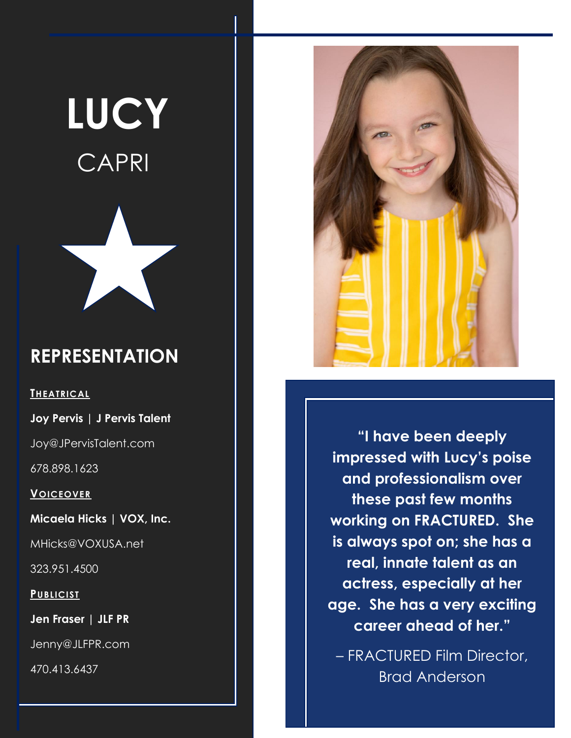# **LUCY** CAPRI



#### **REPRESENTATION**

**THEATRICAL**

**Joy Pervis | J Pervis Talent**

Joy@JPervisTalent.com

678.898.1623

**VOICEOVER**

**Micaela Hicks | VOX, Inc.**

MHicks@VOXUSA.net

323.951.4500

**PUBLICIST**

**Jen Fraser | JLF PR**

Jenny@JLFPR.com

470.413.6437



**"I have been deeply impressed with Lucy's poise and professionalism over these past few months working on FRACTURED. She is always spot on; she has a real, innate talent as an actress, especially at her age. She has a very exciting career ahead of her."**

– FRACTURED Film Director, Brad Anderson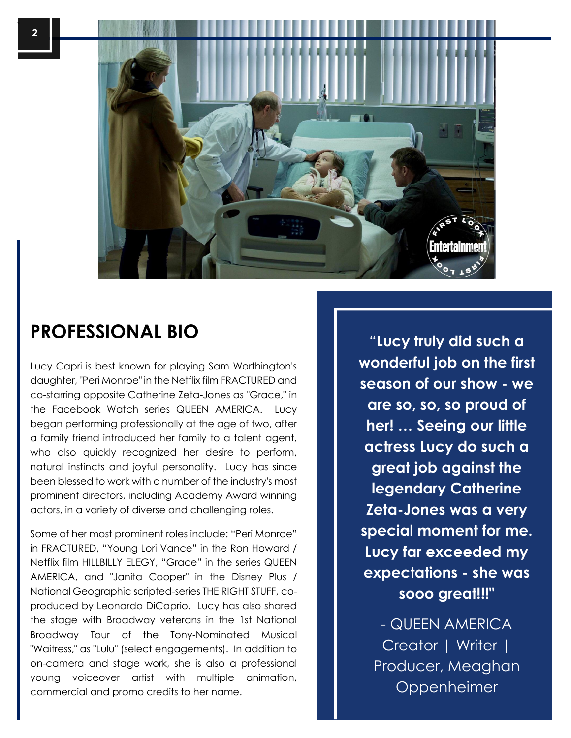

 $\mathsf{I}$ 



## **PROFESSIONAL BIO "Lucy truly did such a**

Lucy Capri is best known for playing Sam Worthington's daughter, "Peri Monroe" in the Netflix film FRACTURED and co-starring opposite Catherine Zeta-Jones as "Grace," in the Facebook Watch series QUEEN AMERICA. Lucy began performing professionally at the age of two, after a family friend introduced her family to a talent agent, who also quickly recognized her desire to perform, natural instincts and joyful personality. Lucy has since been blessed to work with a number of the industry's most prominent directors, including Academy Award winning actors, in a variety of diverse and challenging roles.

Some of her most prominent roles include: "Peri Monroe" in FRACTURED, "Young Lori Vance" in the Ron Howard / Netflix film HILLBILLY ELEGY, "Grace" in the series QUEEN AMERICA, and "Janita Cooper" in the Disney Plus / National Geographic scripted-series THE RIGHT STUFF, coproduced by Leonardo DiCaprio. Lucy has also shared the stage with Broadway veterans in the 1st National Broadway Tour of the Tony-Nominated Musical "Waitress," as "Lulu" (select engagements). In addition to on-camera and stage work, she is also a professional young voiceover artist with multiple animation, commercial and promo credits to her name.

**wonderful job on the first season of our show - we are so, so, so proud of her! … Seeing our little actress Lucy do such a great job against the legendary Catherine Zeta-Jones was a very special moment for me. Lucy far exceeded my expectations - she was sooo great!!!"** 

- QUEEN AMERICA Creator | Writer | Producer, Meaghan Oppenheimer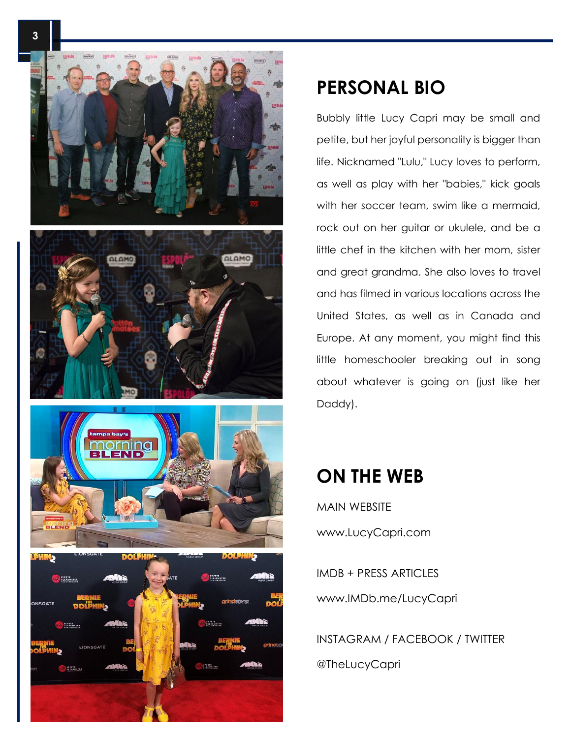

#### **PERSONAL BIO**

Bubbly little Lucy Capri may be small and petite, but her joyful personality is bigger than life. Nicknamed "Lulu," Lucy loves to perform, as well as play with her "babies," kick goals with her soccer team, swim like a mermaid, rock out on her guitar or ukulele, and be a little chef in the kitchen with her mom, sister and great grandma. She also loves to travel and has filmed in various locations across the United States, as well as in Canada and Europe. At any moment, you might find this little homeschooler breaking out in song about whatever is going on (just like her Daddy).

#### **ON THE WEB**

MAIN WEBSITE www.LucyCapri.com

IMDB + PRESS ARTICLES www.IMDb.me/LucyCapri

INSTAGRAM / FACEBOOK / TWITTER @TheLucyCapri